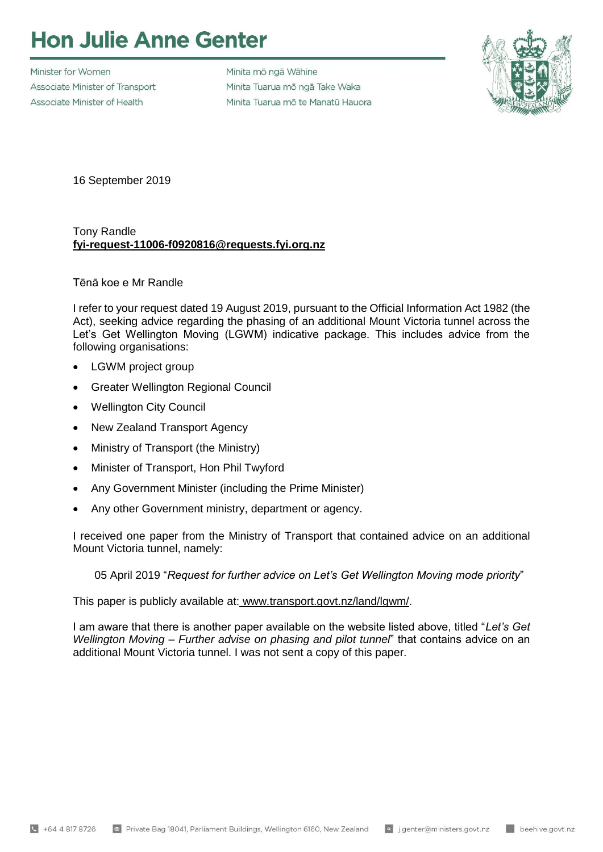## **Hon Julie Anne Genter**

Minister for Women Associate Minister of Transport Associate Minister of Health

Minita mõ ngã Wāhine Minita Tuarua mõ ngā Take Waka Minita Tuarua mõ te Manatū Hauora



16 September 2019

## Tony Randle **fyi-request-11006-f0920816@requests.fyi.org.nz**

## Tēnā koe e Mr Randle

I refer to your request dated 19 August 2019, pursuant to the Official Information Act 1982 (the Act), seeking advice regarding the phasing of an additional Mount Victoria tunnel across the Let's Get Wellington Moving (LGWM) indicative package. This includes advice from the following organisations:

- LGWM project group
- Greater Wellington Regional Council
- Wellington City Council
- New Zealand Transport Agency
- Ministry of Transport (the Ministry)
- Minister of Transport, Hon Phil Twyford
- Any Government Minister (including the Prime Minister)
- Any other Government ministry, department or agency.

I received one paper from the Ministry of Transport that contained advice on an additional Mount Victoria tunnel, namely:

05 April 2019 "*Request for further advice on Let's Get Wellington Moving mode priority*"

This paper is publicly available at: [www.transport.govt.nz/land/lgwm/.](http://www.transport.govt.nz/land/lgwm/)

I am aware that there is another paper available on the website listed above, titled "*Let's Get Wellington Moving – Further advise on phasing and pilot tunnel*" that contains advice on an additional Mount Victoria tunnel. I was not sent a copy of this paper.